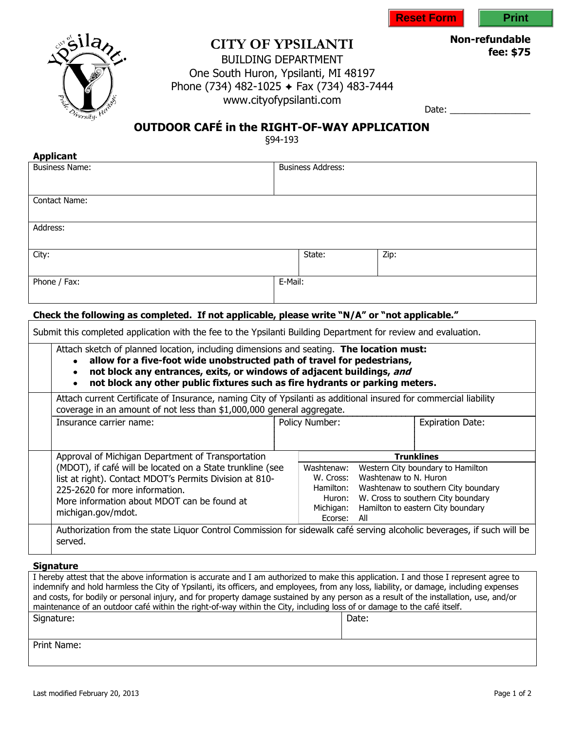



 $\frac{\text{la}}{\text{d} \text{d} \lambda}$ rsity.

# **CITY OF YPSILANTI**

**Non-refundable fee: \$75**

### BUILDING DEPARTMENT One South Huron, Ypsilanti, MI 48197 Phone (734) 482-1025 + Fax (734) 483-7444 www.cityofypsilanti.com

Date: \_\_\_\_\_\_\_\_\_\_\_\_\_\_\_\_

## **OUTDOOR CAFÉ in the RIGHT-OF-WAY APPLICATION**

§94-193

| <b>Applicant</b><br><b>Business Name:</b>                                                                        |         | <b>Business Address:</b> |                       |                                     |
|------------------------------------------------------------------------------------------------------------------|---------|--------------------------|-----------------------|-------------------------------------|
|                                                                                                                  |         |                          |                       |                                     |
| <b>Contact Name:</b>                                                                                             |         |                          |                       |                                     |
| Address:                                                                                                         |         |                          |                       |                                     |
| City:                                                                                                            |         | State:                   | Zip:                  |                                     |
| Phone / Fax:                                                                                                     | E-Mail: |                          |                       |                                     |
|                                                                                                                  |         |                          |                       |                                     |
| Check the following as completed. If not applicable, please write "N/A" or "not applicable."                     |         |                          |                       |                                     |
|                                                                                                                  |         |                          |                       |                                     |
| Submit this completed application with the fee to the Ypsilanti Building Department for review and evaluation.   |         |                          |                       |                                     |
|                                                                                                                  |         |                          |                       |                                     |
| Attach sketch of planned location, including dimensions and seating. The location must:                          |         |                          |                       |                                     |
| allow for a five-foot wide unobstructed path of travel for pedestrians,<br>$\bullet$                             |         |                          |                       |                                     |
| not block any entrances, exits, or windows of adjacent buildings, and<br>$\bullet$                               |         |                          |                       |                                     |
| not block any other public fixtures such as fire hydrants or parking meters.<br>$\bullet$                        |         |                          |                       |                                     |
| Attach current Certificate of Insurance, naming City of Ypsilanti as additional insured for commercial liability |         |                          |                       |                                     |
| coverage in an amount of not less than \$1,000,000 general aggregate.                                            |         |                          |                       |                                     |
| Insurance carrier name:                                                                                          |         | Policy Number:           |                       | <b>Expiration Date:</b>             |
|                                                                                                                  |         |                          |                       |                                     |
|                                                                                                                  |         |                          |                       |                                     |
| Approval of Michigan Department of Transportation                                                                |         |                          |                       | <b>Trunklines</b>                   |
| (MDOT), if café will be located on a State trunkline (see                                                        |         | Washtenaw:<br>W. Cross:  | Washtenaw to N. Huron | Western City boundary to Hamilton   |
| list at right). Contact MDOT's Permits Division at 810-                                                          |         | Hamilton:                |                       | Washtenaw to southern City boundary |
| 225-2620 for more information.                                                                                   |         | Huron:                   |                       | W. Cross to southern City boundary  |
| More information about MDOT can be found at<br>michigan.gov/mdot.                                                |         | Michigan:<br>Fcorse:     | All                   | Hamilton to eastern City boundary   |

#### **Signature**

| I hereby attest that the above information is accurate and I am authorized to make this application. I and those I represent agree to<br>indemnify and hold harmless the City of Ypsilanti, its officers, and employees, from any loss, liability, or damage, including expenses<br>and costs, for bodily or personal injury, and for property damage sustained by any person as a result of the installation, use, and/or<br>maintenance of an outdoor café within the right-of-way within the City, including loss of or damage to the café itself. |       |  |  |  |
|-------------------------------------------------------------------------------------------------------------------------------------------------------------------------------------------------------------------------------------------------------------------------------------------------------------------------------------------------------------------------------------------------------------------------------------------------------------------------------------------------------------------------------------------------------|-------|--|--|--|
| Signature:                                                                                                                                                                                                                                                                                                                                                                                                                                                                                                                                            | Date: |  |  |  |
|                                                                                                                                                                                                                                                                                                                                                                                                                                                                                                                                                       |       |  |  |  |
| Print Name:                                                                                                                                                                                                                                                                                                                                                                                                                                                                                                                                           |       |  |  |  |